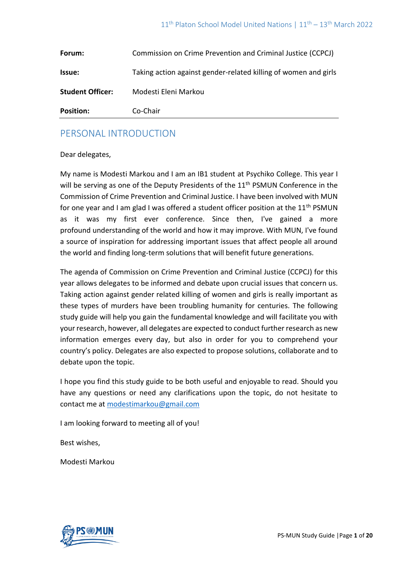| Forum:                  | Commission on Crime Prevention and Criminal Justice (CCPCJ)     |
|-------------------------|-----------------------------------------------------------------|
| <b>Issue:</b>           | Taking action against gender-related killing of women and girls |
| <b>Student Officer:</b> | Modesti Eleni Markou                                            |
| <b>Position:</b>        | Co-Chair                                                        |

## PERSONAL INTRODUCTION

#### Dear delegates,

My name is Modesti Markou and I am an IB1 student at Psychiko College. This year I will be serving as one of the Deputy Presidents of the 11<sup>th</sup> PSMUN Conference in the Commission of Crime Prevention and Criminal Justice. I have been involved with MUN for one year and I am glad I was offered a student officer position at the  $11<sup>th</sup>$  PSMUN as it was my first ever conference. Since then, I've gained a more profound understanding of the world and how it may improve. With MUN, I've found a source of inspiration for addressing important issues that affect people all around the world and finding long-term solutions that will benefit future generations.

The agenda of Commission on Crime Prevention and Criminal Justice (CCPCJ) for this year allows delegates to be informed and debate upon crucial issues that concern us. Taking action against gender related killing of women and girls is really important as these types of murders have been troubling humanity for centuries. The following study guide will help you gain the fundamental knowledge and will facilitate you with your research, however, all delegates are expected to conduct further research as new information emerges every day, but also in order for you to comprehend your country's policy. Delegates are also expected to propose solutions, collaborate and to debate upon the topic.

I hope you find this study guide to be both useful and enjoyable to read. Should you have any questions or need any clarifications upon the topic, do not hesitate to contact me at [modestimarkou@gmail.com](mailto:modestimarkou@gmail.com)

I am looking forward to meeting all of you!

Best wishes,

Modesti Markou

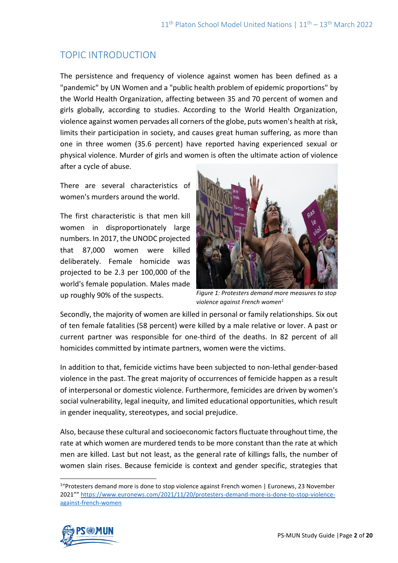# TOPIC INTRODUCTION

The persistence and frequency of violence against women has been defined as a "pandemic" by UN Women and a "public health problem of epidemic proportions" by the World Health Organization, affecting between 35 and 70 percent of women and girls globally, according to studies. According to the World Health Organization, violence against women pervades all corners of the globe, puts women's health at risk, limits their participation in society, and causes great human suffering, as more than one in three women (35.6 percent) have reported having experienced sexual or physical violence. Murder of girls and women is often the ultimate action of violence after a cycle of abuse.

There are several characteristics of women's murders around the world.

The first characteristic is that men kill women in disproportionately large numbers. In 2017, the UNODC projected that 87,000 women were killed deliberately. Female homicide was projected to be 2.3 per 100,000 of the world's female population. Males made up roughly 90% of the suspects.



*Figure 1: Protesters demand more measures to stop violence against French women1*

Secondly, the majority of women are killed in personal or family relationships. Six out of ten female fatalities (58 percent) were killed by a male relative or lover. A past or current partner was responsible for one-third of the deaths. In 82 percent of all homicides committed by intimate partners, women were the victims.

In addition to that, femicide victims have been subjected to non-lethal gender-based violence in the past. The great majority of occurrences of femicide happen as a result of interpersonal or domestic violence. Furthermore, femicides are driven by women's social vulnerability, legal inequity, and limited educational opportunities, which result in gender inequality, stereotypes, and social prejudice.

Also, because these cultural and socioeconomic factors fluctuate throughout time, the rate at which women are murdered tends to be more constant than the rate at which men are killed. Last but not least, as the general rate of killings falls, the number of women slain rises. Because femicide is context and gender specific, strategies that

<sup>&</sup>lt;sup>1</sup>"Protesters demand more is done to stop violence against French women | Euronews, 23 November 2021"" [https://www.euronews.com/2021/11/20/protesters-demand-more-is-done-to-stop-violence](https://www.euronews.com/2021/11/20/protesters-demand-more-is-done-to-stop-violence-against-french-women)[against-french-women](https://www.euronews.com/2021/11/20/protesters-demand-more-is-done-to-stop-violence-against-french-women)

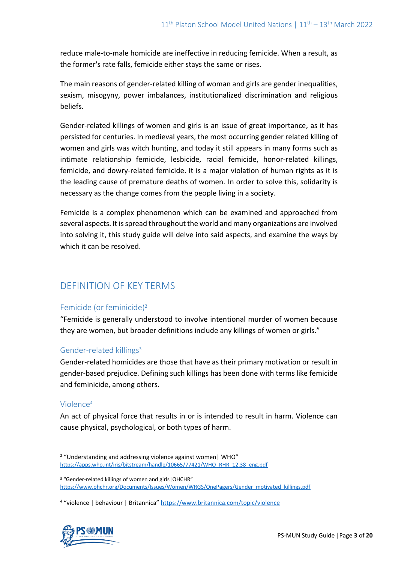reduce male-to-male homicide are ineffective in reducing femicide. When a result, as the former's rate falls, femicide either stays the same or rises.

The main reasons of gender-related killing of woman and girls are gender inequalities, sexism, misogyny, power imbalances, institutionalized discrimination and religious beliefs.

Gender-related killings of women and girls is an issue of great importance, as it has persisted for centuries. In medieval years, the most occurring gender related killing of women and girls was witch hunting, and today it still appears in many forms such as intimate relationship femicide, lesbicide, racial femicide, honor-related killings, femicide, and dowry-related femicide. It is a major violation of human rights as it is the leading cause of premature deaths of women. In order to solve this, solidarity is necessary as the change comes from the people living in a society.

Femicide is a complex phenomenon which can be examined and approached from several aspects. It is spread throughout the world and many organizations are involved into solving it, this study guide will delve into said aspects, and examine the ways by which it can be resolved.

# DEFINITION OF KEY TERMS

## Femicide (or feminicide)<sup>2</sup>

"Femicide is generally understood to involve intentional murder of women because they are women, but broader definitions include any killings of women or girls."

## Gender-related killings<sup>3</sup>

Gender-related homicides are those that have as their primary motivation or result in gender-based prejudice. Defining such killings has been done with terms like femicide and feminicide, among others.

#### Violence<sup>4</sup>

An act of physical force that results in or is intended to result in harm. Violence can cause physical, psychological, or both types of harm.

<sup>&</sup>lt;sup>4</sup> "violence | behaviour | Britannica" <https://www.britannica.com/topic/violence>



<sup>&</sup>lt;sup>2</sup> "Understanding and addressing violence against women | WHO" [https://apps.who.int/iris/bitstream/handle/10665/77421/WHO\\_RHR\\_12.38\\_eng.pdf](https://apps.who.int/iris/bitstream/handle/10665/77421/WHO_RHR_12.38_eng.pdf)

<sup>3</sup> "Gender-related killings of women and girls|OHCHR" [https://www.ohchr.org/Documents/Issues/Women/WRGS/OnePagers/Gender\\_motivated\\_killings.pdf](https://www.ohchr.org/Documents/Issues/Women/WRGS/OnePagers/Gender_motivated_killings.pdf)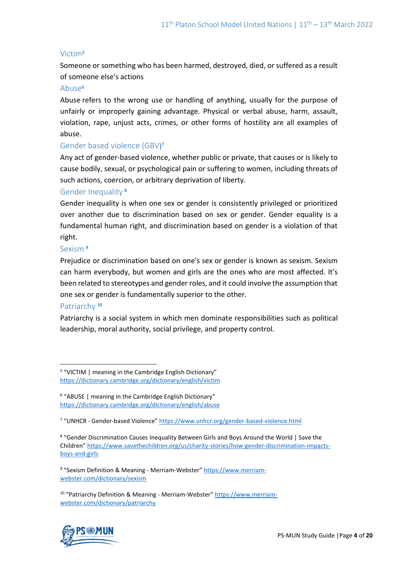## Victim<sup>5</sup>

Someone or something who has been harmed, destroyed, died, or suffered as a result of someone else's actions

#### Abuse<sup>6</sup>

Abuse refers to the wrong use or handling of anything, usually for the purpose of unfairly or improperly gaining advantage. Physical or verbal abuse, harm, assault, violation, rape, unjust acts, crimes, or other forms of hostility are all examples of abuse.

## Gender based violence (GBV) 7

Any act of gender-based violence, whether public or private, that causes or is likely to cause bodily, sexual, or psychological pain or suffering to women, including threats of such actions, coercion, or arbitrary deprivation of liberty.

## Gender Inequality 8

Gender inequality is when one sex or gender is consistently privileged or prioritized over another due to discrimination based on sex or gender. Gender equality is a fundamental human right, and discrimination based on gender is a violation of that right.

#### Sexism **<sup>9</sup>**

Prejudice or discrimination based on one's sex or gender is known as sexism. Sexism can harm everybody, but women and girls are the ones who are most affected. It's been related to stereotypes and gender roles, and it could involve the assumption that one sex or gender is fundamentally superior to the other.

#### Patriarchy **<sup>10</sup>**

Patriarchy is a social system in which men dominate responsibilities such as political leadership, moral authority, social privilege, and property control.

<sup>&</sup>lt;sup>10</sup> "Patriarchy Definition & Meaning - Merriam-Webster" [https://www.merriam](https://www.merriam-webster.com/dictionary/patriarchy)[webster.com/dictionary/patriarchy](https://www.merriam-webster.com/dictionary/patriarchy)



<sup>&</sup>lt;sup>5</sup> "VICTIM | meaning in the Cambridge English Dictionary" <https://dictionary.cambridge.org/dictionary/english/victim>

<sup>&</sup>lt;sup>6</sup> "ABUSE | meaning in the Cambridge English Dictionary" <https://dictionary.cambridge.org/dictionary/english/abuse>

<sup>&</sup>lt;sup>7</sup> "UNHCR - Gender-based Violence" <https://www.unhcr.org/gender-based-violence.html>

<sup>&</sup>lt;sup>8</sup> "Gender Discrimination Causes Inequality Between Girls and Boys Around the World | Save the Children" [https://www.savethechildren.org/us/charity-stories/how-gender-discrimination-impacts](https://www.savethechildren.org/us/charity-stories/how-gender-discrimination-impacts-boys-and-girls)[boys-and-girls](https://www.savethechildren.org/us/charity-stories/how-gender-discrimination-impacts-boys-and-girls)

<sup>&</sup>lt;sup>9</sup> "Sexism Definition & Meaning - Merriam-Webster" [https://www.merriam](https://www.merriam-webster.com/dictionary/sexism)[webster.com/dictionary/sexism](https://www.merriam-webster.com/dictionary/sexism)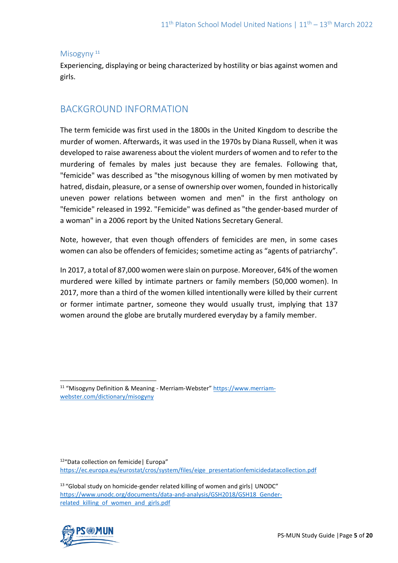#### Misogyny<sup>11</sup>

Experiencing, displaying or being characterized by hostility or bias against women and girls.

## BACKGROUND INFORMATION

The term femicide was first used in the 1800s in the United Kingdom to describe the murder of women. Afterwards, it was used in the 1970s by Diana Russell, when it was developed to raise awareness about the violent murders of women and to refer to the murdering of females by males just because they are females. Following that, "femicide" was described as "the misogynous killing of women by men motivated by hatred, disdain, pleasure, or a sense of ownership over women, founded in historically uneven power relations between women and men" in the first anthology on "femicide" released in 1992. "Femicide" was defined as "the gender-based murder of a woman" in a 2006 report by the United Nations Secretary General.

Note, however, that even though offenders of femicides are men, in some cases women can also be offenders of femicides; sometime acting as "agents of patriarchy".

In 2017, a total of 87,000 women were slain on purpose. Moreover, 64% of the women murdered were killed by intimate partners or family members (50,000 women). In 2017, more than a third of the women killed intentionally were killed by their current or former intimate partner, someone they would usually trust, implying that 137 women around the globe are brutally murdered everyday by a family member.

12 "Data collection on femicide| Europa" [https://ec.europa.eu/eurostat/cros/system/files/eige\\_presentationfemicidedatacollection.pdf](https://ec.europa.eu/eurostat/cros/system/files/eige_presentationfemicidedatacollection.pdf)

<sup>&</sup>lt;sup>13</sup> "Global study on homicide-gender related killing of women and girls | UNODC" https://www.unodc.org/documents/data-and-analysis/GSH2018/GSH18 Genderrelated killing of women and girls.pdf



<sup>&</sup>lt;sup>11</sup> "Misogyny Definition & Meaning - Merriam-Webster" [https://www.merriam](https://www.merriam-webster.com/dictionary/misogyny)[webster.com/dictionary/misogyny](https://www.merriam-webster.com/dictionary/misogyny)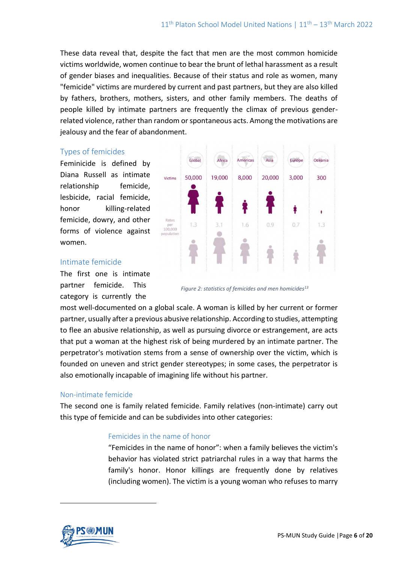These data reveal that, despite the fact that men are the most common homicide victims worldwide, women continue to bear the brunt of lethal harassment as a result of gender biases and inequalities. Because of their status and role as women, many "femicide" victims are murdered by current and past partners, but they are also killed by fathers, brothers, mothers, sisters, and other family members. The deaths of people killed by intimate partners are frequently the climax of previous genderrelated violence, rather than random or spontaneous acts. Among the motivations are jealousy and the fear of abandonment.

### Types of femicides

Feminicide is defined by Diana Russell as intimate relationship femicide, lesbicide, racial femicide, honor killing-related femicide, dowry, and other forms of violence against women.



#### Intimate femicide

The first one is intimate partner femicide. This category is currently the



most well-documented on a global scale. A woman is killed by her current or former partner, usually after a previous abusive relationship. According to studies, attempting to flee an abusive relationship, as well as pursuing divorce or estrangement, are acts that put a woman at the highest risk of being murdered by an intimate partner. The perpetrator's motivation stems from a sense of ownership over the victim, which is founded on uneven and strict gender stereotypes; in some cases, the perpetrator is also emotionally incapable of imagining life without his partner.

#### Non-intimate femicide

The second one is family related femicide. Family relatives (non-intimate) carry out this type of femicide and can be subdivides into other categories:

#### Femicides in the name of honor

"Femicides in the name of honor": when a family believes the victim's behavior has violated strict patriarchal rules in a way that harms the family's honor. Honor killings are frequently done by relatives (including women). The victim is a young woman who refuses to marry

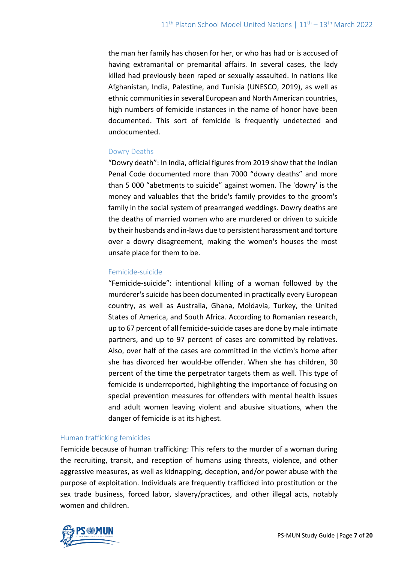the man her family has chosen for her, or who has had or is accused of having extramarital or premarital affairs. In several cases, the lady killed had previously been raped or sexually assaulted. In nations like Afghanistan, India, Palestine, and Tunisia (UNESCO, 2019), as well as ethnic communities in several European and North American countries, high numbers of femicide instances in the name of honor have been documented. This sort of femicide is frequently undetected and undocumented.

## Dowry Deaths

"Dowry death": In India, official figures from 2019 show that the Indian Penal Code documented more than 7000 "dowry deaths" and more than 5 000 "abetments to suicide" against women. The 'dowry' is the money and valuables that the bride's family provides to the groom's family in the social system of prearranged weddings. Dowry deaths are the deaths of married women who are murdered or driven to suicide by their husbands and in-laws due to persistent harassment and torture over a dowry disagreement, making the women's houses the most unsafe place for them to be.

### Femicide-suicide

"Femicide-suicide": intentional killing of a woman followed by the murderer's suicide has been documented in practically every European country, as well as Australia, Ghana, Moldavia, Turkey, the United States of America, and South Africa. According to Romanian research, up to 67 percent of all femicide-suicide cases are done by male intimate partners, and up to 97 percent of cases are committed by relatives. Also, over half of the cases are committed in the victim's home after she has divorced her would-be offender. When she has children, 30 percent of the time the perpetrator targets them as well. This type of femicide is underreported, highlighting the importance of focusing on special prevention measures for offenders with mental health issues and adult women leaving violent and abusive situations, when the danger of femicide is at its highest.

#### Human trafficking femicides

Femicide because of human trafficking: This refers to the murder of a woman during the recruiting, transit, and reception of humans using threats, violence, and other aggressive measures, as well as kidnapping, deception, and/or power abuse with the purpose of exploitation. Individuals are frequently trafficked into prostitution or the sex trade business, forced labor, slavery/practices, and other illegal acts, notably women and children.

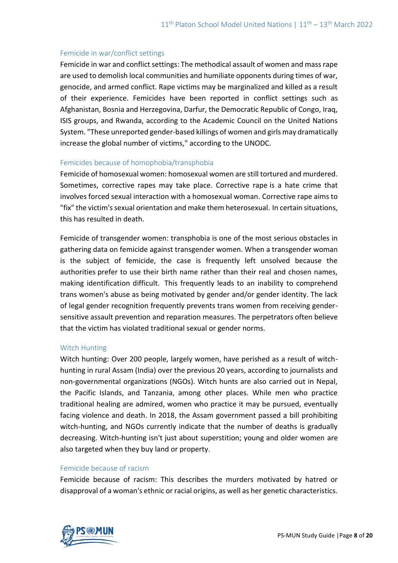### Femicide in war/conflict settings

Femicide in war and conflict settings: The methodical assault of women and mass rape are used to demolish local communities and humiliate opponents during times of war, genocide, and armed conflict. Rape victims may be marginalized and killed as a result of their experience. Femicides have been reported in conflict settings such as Afghanistan, Bosnia and Herzegovina, Darfur, the Democratic Republic of Congo, Iraq, ISIS groups, and Rwanda, according to the Academic Council on the United Nations System. "These unreported gender-based killings of women and girls may dramatically increase the global number of victims," according to the UNODC.

#### Femicides because of homophobia/transphobia

Femicide of homosexual women: homosexual women are still tortured and murdered. Sometimes, corrective rapes may take place. Corrective rape is a hate crime that involves forced sexual interaction with a homosexual woman. Corrective rape aims to "fix" the victim's sexual orientation and make them heterosexual. In certain situations, this has resulted in death.

Femicide of transgender women: transphobia is one of the most serious obstacles in gathering data on femicide against transgender women. When a transgender woman is the subject of femicide, the case is frequently left unsolved because the authorities prefer to use their birth name rather than their real and chosen names, making identification difficult. This frequently leads to an inability to comprehend trans women's abuse as being motivated by gender and/or gender identity. The lack of legal gender recognition frequently prevents trans women from receiving gendersensitive assault prevention and reparation measures. The perpetrators often believe that the victim has violated traditional sexual or gender norms.

#### Witch Hunting

Witch hunting: Over 200 people, largely women, have perished as a result of witchhunting in rural Assam (India) over the previous 20 years, according to journalists and non-governmental organizations (NGOs). Witch hunts are also carried out in Nepal, the Pacific Islands, and Tanzania, among other places. While men who practice traditional healing are admired, women who practice it may be pursued, eventually facing violence and death. In 2018, the Assam government passed a bill prohibiting witch-hunting, and NGOs currently indicate that the number of deaths is gradually decreasing. Witch-hunting isn't just about superstition; young and older women are also targeted when they buy land or property.

#### Femicide because of racism

Femicide because of racism: This describes the murders motivated by hatred or disapproval of a woman's ethnic or racial origins, as well as her genetic characteristics.

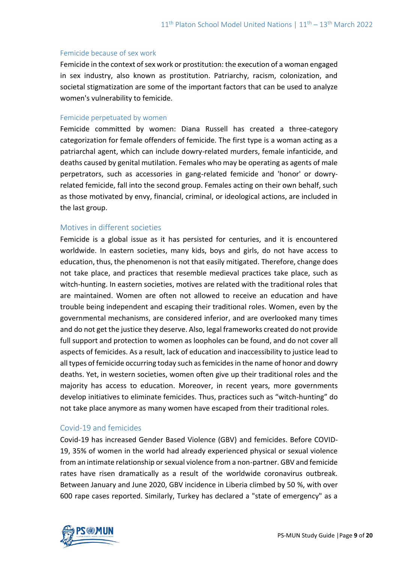#### Femicide because of sex work

Femicide in the context of sex work or prostitution: the execution of a woman engaged in sex industry, also known as prostitution. Patriarchy, racism, colonization, and societal stigmatization are some of the important factors that can be used to analyze women's vulnerability to femicide.

#### Femicide perpetuated by women

Femicide committed by women: Diana Russell has created a three-category categorization for female offenders of femicide. The first type is a woman acting as a patriarchal agent, which can include dowry-related murders, female infanticide, and deaths caused by genital mutilation. Females who may be operating as agents of male perpetrators, such as accessories in gang-related femicide and 'honor' or dowryrelated femicide, fall into the second group. Females acting on their own behalf, such as those motivated by envy, financial, criminal, or ideological actions, are included in the last group.

### Motives in different societies

Femicide is a global issue as it has persisted for centuries, and it is encountered worldwide. In eastern societies, many kids, boys and girls, do not have access to education, thus, the phenomenon is not that easily mitigated. Therefore, change does not take place, and practices that resemble medieval practices take place, such as witch-hunting. In eastern societies, motives are related with the traditional roles that are maintained. Women are often not allowed to receive an education and have trouble being independent and escaping their traditional roles. Women, even by the governmental mechanisms, are considered inferior, and are overlooked many times and do not get the justice they deserve. Also, legal frameworks created do not provide full support and protection to women as loopholes can be found, and do not cover all aspects of femicides. As a result, lack of education and inaccessibility to justice lead to all types of femicide occurring today such as femicides in the name of honor and dowry deaths. Yet, in western societies, women often give up their traditional roles and the majority has access to education. Moreover, in recent years, more governments develop initiatives to eliminate femicides. Thus, practices such as "witch-hunting" do not take place anymore as many women have escaped from their traditional roles.

#### Covid-19 and femicides

Covid-19 has increased Gender Based Violence (GBV) and femicides. Before COVID-19, 35% of women in the world had already experienced physical or sexual violence from an intimate relationship or sexual violence from a non-partner. GBV and femicide rates have risen dramatically as a result of the worldwide coronavirus outbreak. Between January and June 2020, GBV incidence in Liberia climbed by 50 %, with over 600 rape cases reported. Similarly, Turkey has declared a "state of emergency" as a

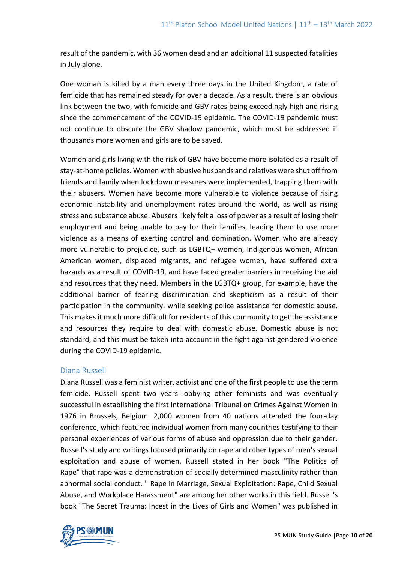result of the pandemic, with 36 women dead and an additional 11 suspected fatalities in July alone.

One woman is killed by a man every three days in the United Kingdom, a rate of femicide that has remained steady for over a decade. As a result, there is an obvious link between the two, with femicide and GBV rates being exceedingly high and rising since the commencement of the COVID-19 epidemic. The COVID-19 pandemic must not continue to obscure the GBV shadow pandemic, which must be addressed if thousands more women and girls are to be saved.

Women and girls living with the risk of GBV have become more isolated as a result of stay-at-home policies. Women with abusive husbands and relatives were shut off from friends and family when lockdown measures were implemented, trapping them with their abusers. Women have become more vulnerable to violence because of rising economic instability and unemployment rates around the world, as well as rising stress and substance abuse. Abusers likely felt a loss of power as a result of losing their employment and being unable to pay for their families, leading them to use more violence as a means of exerting control and domination. Women who are already more vulnerable to prejudice, such as LGBTQ+ women, Indigenous women, African American women, displaced migrants, and refugee women, have suffered extra hazards as a result of COVID-19, and have faced greater barriers in receiving the aid and resources that they need. Members in the LGBTQ+ group, for example, have the additional barrier of fearing discrimination and skepticism as a result of their participation in the community, while seeking police assistance for domestic abuse. This makes it much more difficult for residents of this community to get the assistance and resources they require to deal with domestic abuse. Domestic abuse is not standard, and this must be taken into account in the fight against gendered violence during the COVID-19 epidemic.

## Diana Russell

Diana Russell was a feminist writer, activist and one of the first people to use the term femicide. Russell spent two years lobbying other feminists and was eventually successful in establishing the first International Tribunal on Crimes Against Women in 1976 in Brussels, Belgium. 2,000 women from 40 nations attended the four-day conference, which featured individual women from many countries testifying to their personal experiences of various forms of abuse and oppression due to their gender. Russell's study and writings focused primarily on rape and other types of men's sexual exploitation and abuse of women. Russell stated in her book "The Politics of Rape" that rape was a demonstration of socially determined masculinity rather than abnormal social conduct. " Rape in Marriage, Sexual Exploitation: Rape, Child Sexual Abuse, and Workplace Harassment" are among her other works in this field. Russell's book "The Secret Trauma: Incest in the Lives of Girls and Women" was published in

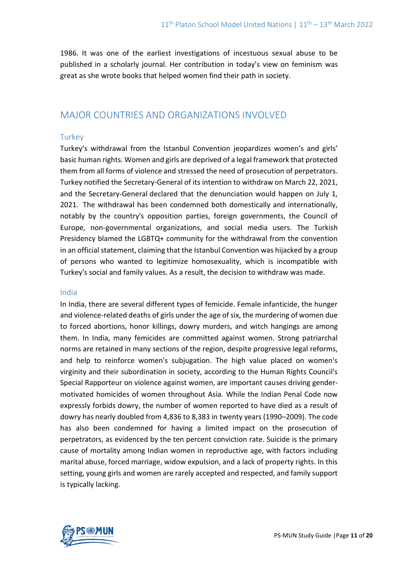1986. It was one of the earliest investigations of incestuous sexual abuse to be published in a scholarly journal. Her contribution in today's view on feminism was great as she wrote books that helped women find their path in society.

## MAJOR COUNTRIES AND ORGANIZATIONS INVOLVED

## **Turkey**

Turkey's withdrawal from the Istanbul Convention jeopardizes women's and girls' basic human rights. Women and girls are deprived of a legal framework that protected them from all forms of violence and stressed the need of prosecution of perpetrators. Turkey notified the Secretary-General of its intention to withdraw on March 22, 2021, and the Secretary-General declared that the denunciation would happen on July 1, 2021. The withdrawal has been condemned both domestically and internationally, notably by the country's opposition parties, foreign governments, the Council of Europe, non-governmental organizations, and social media users. The Turkish Presidency blamed the LGBTQ+ community for the withdrawal from the convention in an official statement, claiming that the Istanbul Convention was hijacked by a group of persons who wanted to legitimize homosexuality, which is incompatible with Turkey's social and family values. As a result, the decision to withdraw was made.

## India

In India, there are several different types of femicide. Female infanticide, the hunger and violence-related deaths of girls under the age of six, the murdering of women due to forced abortions, honor killings, dowry murders, and witch hangings are among them. In India, many femicides are committed against women. Strong patriarchal norms are retained in many sections of the region, despite progressive legal reforms, and help to reinforce women's subjugation. The high value placed on women's virginity and their subordination in society, according to the Human Rights Council's Special Rapporteur on violence against women, are important causes driving gendermotivated homicides of women throughout Asia. While the Indian Penal Code now expressly forbids dowry, the number of women reported to have died as a result of dowry has nearly doubled from 4,836 to 8,383 in twenty years (1990–2009). The code has also been condemned for having a limited impact on the prosecution of perpetrators, as evidenced by the ten percent conviction rate. Suicide is the primary cause of mortality among Indian women in reproductive age, with factors including marital abuse, forced marriage, widow expulsion, and a lack of property rights. In this setting, young girls and women are rarely accepted and respected, and family support is typically lacking.

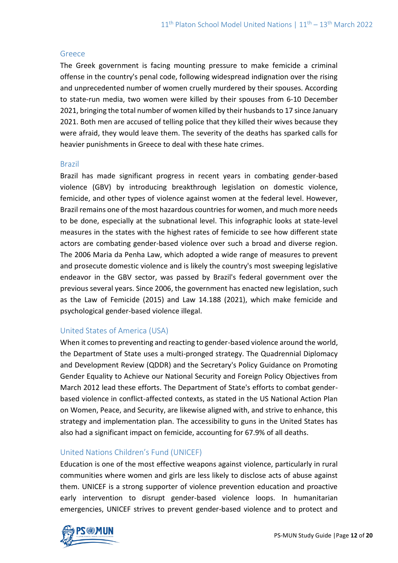#### Greece

The Greek government is facing mounting pressure to make femicide a criminal offense in the country's penal code, following widespread indignation over the rising and unprecedented number of women cruelly murdered by their spouses. According to state-run media, two women were killed by their spouses from 6-10 December 2021, bringing the total number of women killed by their husbands to 17 since January 2021. Both men are accused of telling police that they killed their wives because they were afraid, they would leave them. The severity of the deaths has sparked calls for heavier punishments in Greece to deal with these hate crimes.

#### Brazil

Brazil has made significant progress in recent years in combating gender-based violence (GBV) by introducing breakthrough legislation on domestic violence, femicide, and other types of violence against women at the federal level. However, Brazil remains one of the most hazardous countries for women, and much more needs to be done, especially at the subnational level. This infographic looks at state-level measures in the states with the highest rates of femicide to see how different state actors are combating gender-based violence over such a broad and diverse region. The 2006 Maria da Penha Law, which adopted a wide range of measures to prevent and prosecute domestic violence and is likely the country's most sweeping legislative endeavor in the GBV sector, was passed by Brazil's federal government over the previous several years. Since 2006, the government has enacted new legislation, such as the Law of Femicide (2015) and Law 14.188 (2021), which make femicide and psychological gender-based violence illegal.

## United States of America (USA)

When it comes to preventing and reacting to gender-based violence around the world, the Department of State uses a multi-pronged strategy. The Quadrennial Diplomacy and Development Review (QDDR) and the Secretary's Policy Guidance on Promoting Gender Equality to Achieve our National Security and Foreign Policy Objectives from March 2012 lead these efforts. The Department of State's efforts to combat genderbased violence in conflict-affected contexts, as stated in the US National Action Plan on Women, Peace, and Security, are likewise aligned with, and strive to enhance, this strategy and implementation plan. The accessibility to guns in the United States has also had a significant impact on femicide, accounting for 67.9% of all deaths.

## United Nations Children's Fund (UNICEF)

Education is one of the most effective weapons against violence, particularly in rural communities where women and girls are less likely to disclose acts of abuse against them. UNICEF is a strong supporter of violence prevention education and proactive early intervention to disrupt gender-based violence loops. In humanitarian emergencies, UNICEF strives to prevent gender-based violence and to protect and

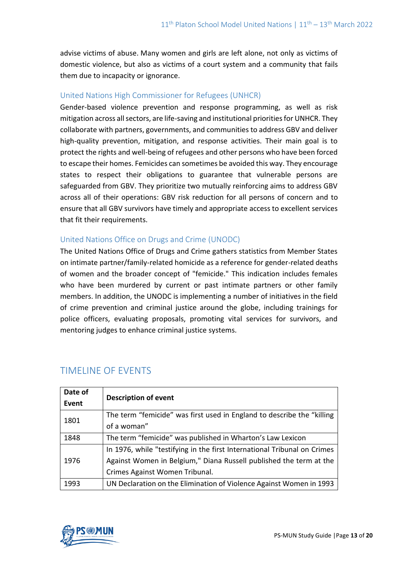advise victims of abuse. Many women and girls are left alone, not only as victims of domestic violence, but also as victims of a court system and a community that fails them due to incapacity or ignorance.

## United Nations High Commissioner for Refugees (UNHCR)

Gender-based violence prevention and response programming, as well as risk mitigation across all sectors, are life-saving and institutional priorities for UNHCR. They collaborate with partners, governments, and communities to address GBV and deliver high-quality prevention, mitigation, and response activities. Their main goal is to protect the rights and well-being of refugees and other persons who have been forced to escape their homes. Femicides can sometimes be avoided this way. They encourage states to respect their obligations to guarantee that vulnerable persons are safeguarded from GBV. They prioritize two mutually reinforcing aims to address GBV across all of their operations: GBV risk reduction for all persons of concern and to ensure that all GBV survivors have timely and appropriate access to excellent services that fit their requirements.

## United Nations Office on Drugs and Crime (UNODC)

The United Nations Office of Drugs and Crime gathers statistics from Member States on intimate partner/family-related homicide as a reference for gender-related deaths of women and the broader concept of "femicide." This indication includes females who have been murdered by current or past intimate partners or other family members. In addition, the UNODC is implementing a number of initiatives in the field of crime prevention and criminal justice around the globe, including trainings for police officers, evaluating proposals, promoting vital services for survivors, and mentoring judges to enhance criminal justice systems.

| Date of<br>Event | <b>Description of event</b>                                              |
|------------------|--------------------------------------------------------------------------|
| 1801             | The term "femicide" was first used in England to describe the "killing"  |
|                  | of a woman"                                                              |
| 1848             | The term "femicide" was published in Wharton's Law Lexicon               |
| 1976             | In 1976, while "testifying in the first International Tribunal on Crimes |
|                  | Against Women in Belgium," Diana Russell published the term at the       |
|                  | Crimes Against Women Tribunal.                                           |
| 1993             | UN Declaration on the Elimination of Violence Against Women in 1993      |

# TIMELINE OF EVENTS

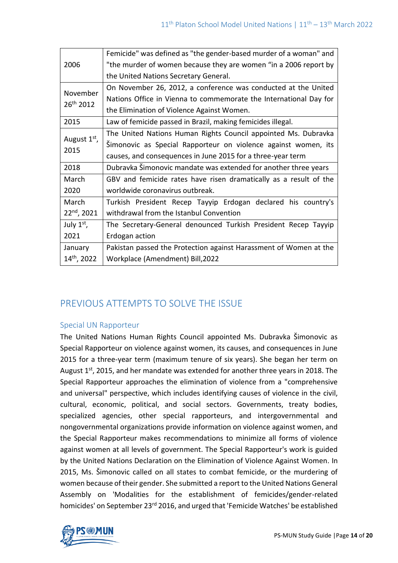| 2006                              | Femicide" was defined as "the gender-based murder of a woman" and |
|-----------------------------------|-------------------------------------------------------------------|
|                                   | "the murder of women because they are women "in a 2006 report by  |
|                                   | the United Nations Secretary General.                             |
| November<br>26 <sup>th</sup> 2012 | On November 26, 2012, a conference was conducted at the United    |
|                                   | Nations Office in Vienna to commemorate the International Day for |
|                                   | the Elimination of Violence Against Women.                        |
| 2015                              | Law of femicide passed in Brazil, making femicides illegal.       |
| August 1 <sup>st</sup> ,<br>2015  | The United Nations Human Rights Council appointed Ms. Dubravka    |
|                                   | Simonovic as Special Rapporteur on violence against women, its    |
|                                   | causes, and consequences in June 2015 for a three-year term       |
| 2018                              | Dubravka Šimonovic mandate was extended for another three years   |
| March                             | GBV and femicide rates have risen dramatically as a result of the |
| 2020                              | worldwide coronavirus outbreak.                                   |
| March                             | Turkish President Recep Tayyip Erdogan declared his country's     |
| $22nd$ , 2021                     | withdrawal from the Istanbul Convention                           |
| July $1st$ ,                      | The Secretary-General denounced Turkish President Recep Tayyip    |
| 2021                              | Erdogan action                                                    |
| January                           | Pakistan passed the Protection against Harassment of Women at the |
| 14th, 2022                        | Workplace (Amendment) Bill, 2022                                  |

# PREVIOUS ATTEMPTS TO SOLVE THE ISSUE

## Special UN Rapporteur

The United Nations Human Rights Council appointed Ms. Dubravka Šimonovic as Special Rapporteur on violence against women, its causes, and consequences in June 2015 for a three-year term (maximum tenure of six years). She began her term on August  $1<sup>st</sup>$ , 2015, and her mandate was extended for another three years in 2018. The Special Rapporteur approaches the elimination of violence from a "comprehensive and universal" perspective, which includes identifying causes of violence in the civil, cultural, economic, political, and social sectors. Governments, treaty bodies, specialized agencies, other special rapporteurs, and intergovernmental and nongovernmental organizations provide information on violence against women, and the Special Rapporteur makes recommendations to minimize all forms of violence against women at all levels of government. The Special Rapporteur's work is guided by the United Nations Declaration on the Elimination of Violence Against Women. In 2015, Ms. Šimonovic called on all states to combat femicide, or the murdering of women because of their gender. She submitted a report to the United Nations General Assembly on 'Modalities for the establishment of femicides/gender-related homicides' on September 23<sup>rd</sup> 2016, and urged that 'Femicide Watches' be established

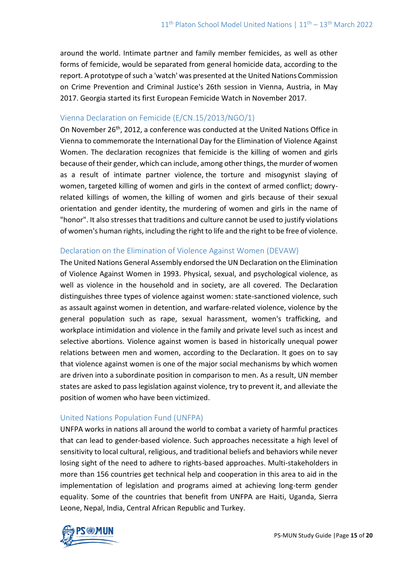around the world. Intimate partner and family member femicides, as well as other forms of femicide, would be separated from general homicide data, according to the report. A prototype of such a 'watch' was presented at the United Nations Commission on Crime Prevention and Criminal Justice's 26th session in Vienna, Austria, in May 2017. Georgia started its first European Femicide Watch in November 2017.

### Vienna Declaration on Femicide (E/CN.15/2013/NGO/1)

On November 26<sup>th</sup>, 2012, a conference was conducted at the United Nations Office in Vienna to commemorate the International Day for the Elimination of Violence Against Women. The declaration recognizes that femicide is the killing of women and girls because of their gender, which can include, among other things, the murder of women as a result of intimate partner violence, the torture and misogynist slaying of women, targeted killing of women and girls in the context of armed conflict; dowryrelated killings of women, the killing of women and girls because of their sexual orientation and gender identity, the murdering of women and girls in the name of "honor". It also stresses that traditions and culture cannot be used to justify violations of women's human rights, including the right to life and the right to be free of violence.

## Declaration on the Elimination of Violence Against Women (DEVAW)

The United Nations General Assembly endorsed the UN Declaration on the Elimination of Violence Against Women in 1993. Physical, sexual, and psychological violence, as well as violence in the household and in society, are all covered. The Declaration distinguishes three types of violence against women: state-sanctioned violence, such as assault against women in detention, and warfare-related violence, violence by the general population such as rape, sexual harassment, women's trafficking, and workplace intimidation and violence in the family and private level such as incest and selective abortions. Violence against women is based in historically unequal power relations between men and women, according to the Declaration. It goes on to say that violence against women is one of the major social mechanisms by which women are driven into a subordinate position in comparison to men. As a result, UN member states are asked to pass legislation against violence, try to prevent it, and alleviate the position of women who have been victimized.

## United Nations Population Fund (UNFPA)

UNFPA works in nations all around the world to combat a variety of harmful practices that can lead to gender-based violence. Such approaches necessitate a high level of sensitivity to local cultural, religious, and traditional beliefs and behaviors while never losing sight of the need to adhere to rights-based approaches. Multi-stakeholders in more than 156 countries get technical help and cooperation in this area to aid in the implementation of legislation and programs aimed at achieving long-term gender equality. Some of the countries that benefit from UNFPA are Haiti, Uganda, Sierra Leone, Nepal, India, Central African Republic and Turkey.

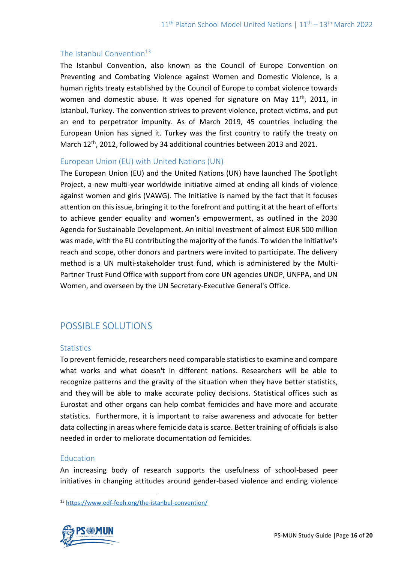## The Istanbul Convention $13$

The Istanbul Convention, also known as the Council of Europe Convention on Preventing and Combating Violence against Women and Domestic Violence, is a human rights treaty established by the Council of Europe to combat violence towards women and domestic abuse. It was opened for signature on May  $11<sup>th</sup>$ , 2011, in Istanbul, Turkey. The convention strives to prevent violence, protect victims, and put an end to perpetrator impunity. As of March 2019, 45 countries including the European Union has signed it. Turkey was the first country to ratify the treaty on March  $12^{th}$ , 2012, followed by 34 additional countries between 2013 and 2021.

## European Union (EU) with United Nations (UN)

The European Union (EU) and the United Nations (UN) have launched The Spotlight Project, a new multi-year worldwide initiative aimed at ending all kinds of violence against women and girls (VAWG). The Initiative is named by the fact that it focuses attention on this issue, bringing it to the forefront and putting it at the heart of efforts to achieve gender equality and women's empowerment, as outlined in the 2030 Agenda for Sustainable Development. An initial investment of almost EUR 500 million was made, with the EU contributing the majority of the funds. To widen the Initiative's reach and scope, other donors and partners were invited to participate. The delivery method is a UN multi-stakeholder trust fund, which is administered by the Multi-Partner Trust Fund Office with support from core UN agencies UNDP, UNFPA, and UN Women, and overseen by the UN Secretary-Executive General's Office.

# POSSIBLE SOLUTIONS

## **Statistics**

To prevent femicide, researchers need comparable statistics to examine and compare what works and what doesn't in different nations. Researchers will be able to recognize patterns and the gravity of the situation when they have better statistics, and they will be able to make accurate policy decisions. Statistical offices such as Eurostat and other organs can help combat femicides and have more and accurate statistics. Furthermore, it is important to raise awareness and advocate for better data collecting in areas where femicide data is scarce. Better training of officials is also needed in order to meliorate documentation od femicides.

## **Education**

An increasing body of research supports the usefulness of school-based peer initiatives in changing attitudes around gender-based violence and ending violence

<sup>13</sup> <https://www.edf-feph.org/the-istanbul-convention/>

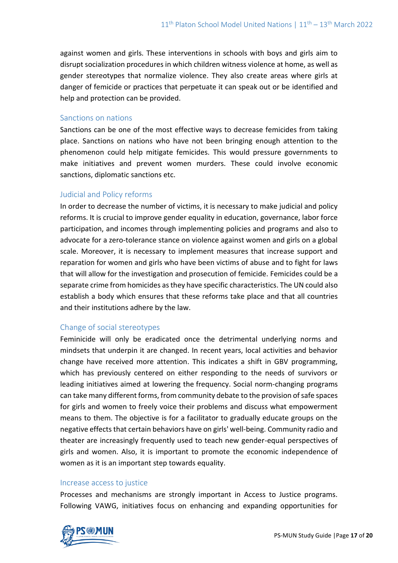against women and girls. These interventions in schools with boys and girls aim to disrupt socialization procedures in which children witness violence at home, as well as gender stereotypes that normalize violence. They also create areas where girls at danger of femicide or practices that perpetuate it can speak out or be identified and help and protection can be provided.

#### Sanctions on nations

Sanctions can be one of the most effective ways to decrease femicides from taking place. Sanctions on nations who have not been bringing enough attention to the phenomenon could help mitigate femicides. This would pressure governments to make initiatives and prevent women murders. These could involve economic sanctions, diplomatic sanctions etc.

## Judicial and Policy reforms

In order to decrease the number of victims, it is necessary to make judicial and policy reforms. It is crucial to improve gender equality in education, governance, labor force participation, and incomes through implementing policies and programs and also to advocate for a zero-tolerance stance on violence against women and girls on a global scale. Moreover, it is necessary to implement measures that increase support and reparation for women and girls who have been victims of abuse and to fight for laws that will allow for the investigation and prosecution of femicide. Femicides could be a separate crime from homicides as they have specific characteristics. The UN could also establish a body which ensures that these reforms take place and that all countries and their institutions adhere by the law.

## Change of social stereotypes

Feminicide will only be eradicated once the detrimental underlying norms and mindsets that underpin it are changed. In recent years, local activities and behavior change have received more attention. This indicates a shift in GBV programming, which has previously centered on either responding to the needs of survivors or leading initiatives aimed at lowering the frequency. Social norm-changing programs can take many different forms, from community debate to the provision of safe spaces for girls and women to freely voice their problems and discuss what empowerment means to them. The objective is for a facilitator to gradually educate groups on the negative effects that certain behaviors have on girls' well-being. Community radio and theater are increasingly frequently used to teach new gender-equal perspectives of girls and women. Also, it is important to promote the economic independence of women as it is an important step towards equality.

#### Increase access to justice

Processes and mechanisms are strongly important in Access to Justice programs. Following VAWG, initiatives focus on enhancing and expanding opportunities for

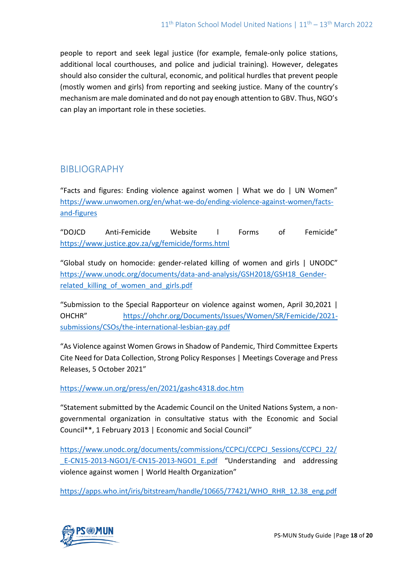people to report and seek legal justice (for example, female-only police stations, additional local courthouses, and police and judicial training). However, delegates should also consider the cultural, economic, and political hurdles that prevent people (mostly women and girls) from reporting and seeking justice. Many of the country's mechanism are male dominated and do not pay enough attention to GBV. Thus, NGO's can play an important role in these societies.

# BIBLIOGRAPHY

"Facts and figures: Ending violence against women | What we do | UN Women" [https://www.unwomen.org/en/what-we-do/ending-violence-against-women/facts](https://www.unwomen.org/en/what-we-do/ending-violence-against-women/facts-and-figures)[and-figures](https://www.unwomen.org/en/what-we-do/ending-violence-against-women/facts-and-figures)

"DOJCD Anti-Femicide Website l Forms of Femicide" <https://www.justice.gov.za/vg/femicide/forms.html>

"Global study on homocide: gender-[related killing of women and girls | UNODC"](https://www.unodc.org/documents/data-and-analysis/GSH2018/GSH18_Gender-related_killing_of_women_and_girls.pdf)  [https://www.unodc.org/documents/data-and-analysis/GSH2018/GSH18\\_Gender](https://www.unodc.org/documents/data-and-analysis/GSH2018/GSH18_Gender-related_killing_of_women_and_girls.pdf)related killing of women and girls.pdf

["Submission to the Special Rapporteur on violence against women](https://ohchr.org/Documents/Issues/Women/SR/Femicide/2021-submissions/CSOs/the-international-lesbian-gay.pdf), April 30,2021 | OHCHR" [https://ohchr.org/Documents/Issues/Women/SR/Femicide/2021](https://ohchr.org/Documents/Issues/Women/SR/Femicide/2021-submissions/CSOs/the-international-lesbian-gay.pdf) [submissions/CSOs/the-international-lesbian-gay.pdf](https://ohchr.org/Documents/Issues/Women/SR/Femicide/2021-submissions/CSOs/the-international-lesbian-gay.pdf)

"As Violence against Women Grows in Shadow of Pandemic, Third Committee Experts Cite Need for Data Collection, Strong Policy Responses | Meetings Coverage and Press Releases, 5 October 2021"

<https://www.un.org/press/en/2021/gashc4318.doc.htm>

"Statement submitted by the Academic Council on the United Nations System, a nongovernmental organization in consultative status with the Economic and Social Council\*\*, 1 February 2013 | Economic and Social Council"

[https://www.unodc.org/documents/commissions/CCPCJ/CCPCJ\\_Sessions/CCPCJ\\_22/](https://www.unodc.org/documents/commissions/CCPCJ/CCPCJ_Sessions/CCPCJ_22/_E-CN15-2013-NGO1/E-CN15-2013-NGO1_E.pdf) E-CN15-2013-NGO1/E-CN15-2013-NGO1\_E.pdf "Understanding and addressing violence against women | World Health Organization"

[https://apps.who.int/iris/bitstream/handle/10665/77421/WHO\\_RHR\\_12.38\\_eng.pdf](https://apps.who.int/iris/bitstream/handle/10665/77421/WHO_RHR_12.38_eng.pdf)

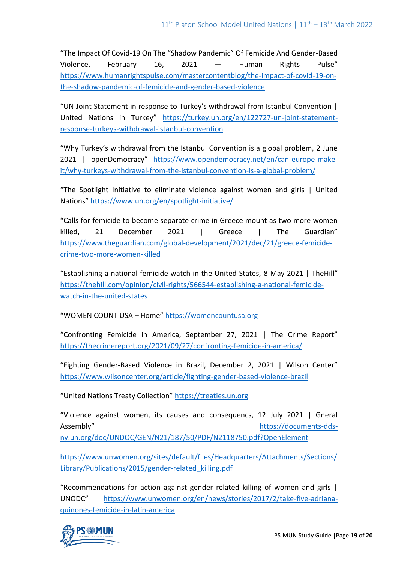"The Impact Of Covid-19 On The "Shadow Pandemic" Of Femicide And Gender-Based Violence, February 16, 2021 — Human Rights Pulse" [https://www.humanrightspulse.com/mastercontentblog/the-impact-of-covid-19-on](https://www.humanrightspulse.com/mastercontentblog/the-impact-of-covid-19-on-the-shadow-pandemic-of-femicide-and-gender-based-violence)[the-shadow-pandemic-of-femicide-and-gender-based-violence](https://www.humanrightspulse.com/mastercontentblog/the-impact-of-covid-19-on-the-shadow-pandemic-of-femicide-and-gender-based-violence)

"UN Joint Statement in response to Turkey's withdrawal from Istanbul Convention | United Nations in Turkey" [https://turkey.un.org/en/122727-un-joint-statement](https://turkey.un.org/en/122727-un-joint-statement-response-turkeys-withdrawal-istanbul-convention)[response-turkeys-withdrawal-istanbul-convention](https://turkey.un.org/en/122727-un-joint-statement-response-turkeys-withdrawal-istanbul-convention)

"Why Turkey's withdrawal from the Istanbul Convention is a global problem, 2 June 2021 | openDemocracy" [https://www.opendemocracy.net/en/can-europe-make](https://www.opendemocracy.net/en/can-europe-make-it/why-turkeys-withdrawal-from-the-istanbul-convention-is-a-global-problem/)[it/why-turkeys-withdrawal-from-the-istanbul-convention-is-a-global-problem/](https://www.opendemocracy.net/en/can-europe-make-it/why-turkeys-withdrawal-from-the-istanbul-convention-is-a-global-problem/)

"The Spotlight Initiative to eliminate violence against women and girls | United Nations" <https://www.un.org/en/spotlight-initiative/>

["Calls for femicide to become separate crime in Greece mount as two more women](https://www.theguardian.com/global-development/2021/dec/21/greece-femicide-crime-two-more-women-killed)  killed. 21 December 2021 | Greece | The Guardian" [https://www.theguardian.com/global-development/2021/dec/21/greece-femicide](https://www.theguardian.com/global-development/2021/dec/21/greece-femicide-crime-two-more-women-killed)[crime-two-more-women-killed](https://www.theguardian.com/global-development/2021/dec/21/greece-femicide-crime-two-more-women-killed)

["Establishing a national femicide watch in the United States,](https://thehill.com/opinion/civil-rights/566544-establishing-a-national-femicide-watch-in-the-united-states) 8 May 2021 | TheHill" [https://thehill.com/opinion/civil-rights/566544-establishing-a-national-femicide](https://thehill.com/opinion/civil-rights/566544-establishing-a-national-femicide-watch-in-the-united-states)[watch-in-the-united-states](https://thehill.com/opinion/civil-rights/566544-establishing-a-national-femicide-watch-in-the-united-states)

"WOMEN COUNT USA – Home" [https://womencountusa.org](https://womencountusa.org/)

"Confronting Femicide in America, September 27, 2021 | The Crime Report" <https://thecrimereport.org/2021/09/27/confronting-femicide-in-america/>

"Fighting Gender-Based Violence in Brazil, December 2, 2021 | Wilson Center" <https://www.wilsoncenter.org/article/fighting-gender-based-violence-brazil>

"United Nations Treaty Collection" [https://treaties.un.org](https://treaties.un.org/)

["Violence against women, its causes and consequencs, 12 July 2021 | Gneral](https://documents-dds-ny.un.org/doc/UNDOC/GEN/N21/187/50/PDF/N2118750.pdf?OpenElement)  Assembly" [https://documents-dds](https://documents-dds-ny.un.org/doc/UNDOC/GEN/N21/187/50/PDF/N2118750.pdf?OpenElement)[ny.un.org/doc/UNDOC/GEN/N21/187/50/PDF/N2118750.pdf?OpenElement](https://documents-dds-ny.un.org/doc/UNDOC/GEN/N21/187/50/PDF/N2118750.pdf?OpenElement)

[https://www.unwomen.org/sites/default/files/Headquarters/Attachments/Sections/](https://www.unwomen.org/sites/default/files/Headquarters/Attachments/Sections/Library/Publications/2015/gender-related_killing.pdf) [Library/Publications/2015/gender-related\\_killing.pdf](https://www.unwomen.org/sites/default/files/Headquarters/Attachments/Sections/Library/Publications/2015/gender-related_killing.pdf)

["Recommendations for action against gender related killing of women and girls |](https://www.unwomen.org/en/news/stories/2017/2/take-five-adriana-quinones-femicide-in-latin-america)  UNODC" [https://www.unwomen.org/en/news/stories/2017/2/take-five-adriana](https://www.unwomen.org/en/news/stories/2017/2/take-five-adriana-quinones-femicide-in-latin-america)[quinones-femicide-in-latin-america](https://www.unwomen.org/en/news/stories/2017/2/take-five-adriana-quinones-femicide-in-latin-america)